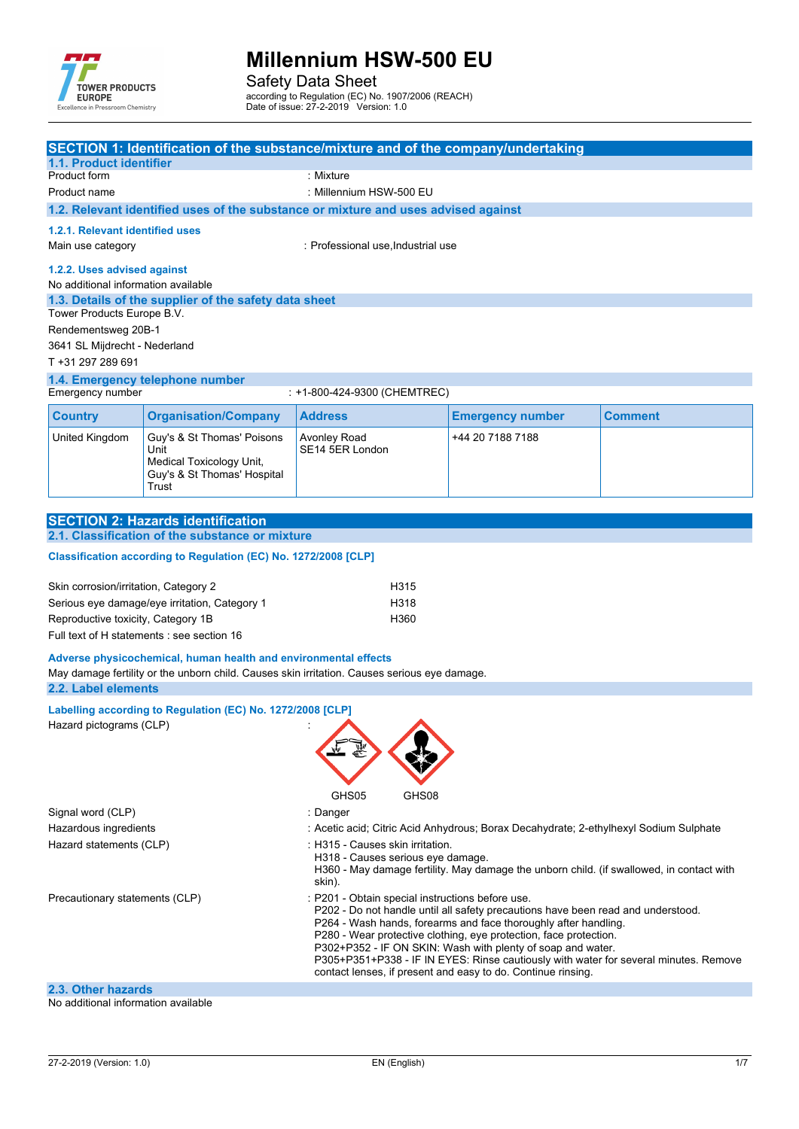

Safety Data Sheet

according to Regulation (EC) No. 1907/2006 (REACH)

Date of issue: 27-2-2019 Version: 1.0

| 1.1. Product identifier                                            |                                                                                                        | SECTION 1: Identification of the substance/mixture and of the company/undertaking                                                                                                                                                                                                                                                                                                                                                                                                                   |                         |                |
|--------------------------------------------------------------------|--------------------------------------------------------------------------------------------------------|-----------------------------------------------------------------------------------------------------------------------------------------------------------------------------------------------------------------------------------------------------------------------------------------------------------------------------------------------------------------------------------------------------------------------------------------------------------------------------------------------------|-------------------------|----------------|
| Product form                                                       |                                                                                                        | : Mixture                                                                                                                                                                                                                                                                                                                                                                                                                                                                                           |                         |                |
| Product name                                                       |                                                                                                        | : Millennium HSW-500 EU                                                                                                                                                                                                                                                                                                                                                                                                                                                                             |                         |                |
|                                                                    |                                                                                                        | 1.2. Relevant identified uses of the substance or mixture and uses advised against                                                                                                                                                                                                                                                                                                                                                                                                                  |                         |                |
| 1.2.1. Relevant identified uses                                    |                                                                                                        |                                                                                                                                                                                                                                                                                                                                                                                                                                                                                                     |                         |                |
| Main use category                                                  |                                                                                                        | : Professional use, Industrial use                                                                                                                                                                                                                                                                                                                                                                                                                                                                  |                         |                |
| 1.2.2. Uses advised against<br>No additional information available |                                                                                                        |                                                                                                                                                                                                                                                                                                                                                                                                                                                                                                     |                         |                |
| Tower Products Europe B.V.                                         | 1.3. Details of the supplier of the safety data sheet                                                  |                                                                                                                                                                                                                                                                                                                                                                                                                                                                                                     |                         |                |
| Rendementsweg 20B-1<br>3641 SL Mijdrecht - Nederland               |                                                                                                        |                                                                                                                                                                                                                                                                                                                                                                                                                                                                                                     |                         |                |
| T +31 297 289 691                                                  |                                                                                                        |                                                                                                                                                                                                                                                                                                                                                                                                                                                                                                     |                         |                |
|                                                                    | 1.4. Emergency telephone number                                                                        |                                                                                                                                                                                                                                                                                                                                                                                                                                                                                                     |                         |                |
| Emergency number                                                   |                                                                                                        | : +1-800-424-9300 (CHEMTREC)                                                                                                                                                                                                                                                                                                                                                                                                                                                                        |                         |                |
| <b>Country</b>                                                     | <b>Organisation/Company</b>                                                                            | <b>Address</b>                                                                                                                                                                                                                                                                                                                                                                                                                                                                                      | <b>Emergency number</b> | <b>Comment</b> |
| <b>United Kingdom</b>                                              | Guy's & St Thomas' Poisons<br>Unit<br>Medical Toxicology Unit,<br>Guy's & St Thomas' Hospital<br>Trust | Avonley Road<br>SE14 5ER London                                                                                                                                                                                                                                                                                                                                                                                                                                                                     | +44 20 7188 7188        |                |
|                                                                    |                                                                                                        |                                                                                                                                                                                                                                                                                                                                                                                                                                                                                                     |                         |                |
|                                                                    | <b>SECTION 2: Hazards identification</b>                                                               |                                                                                                                                                                                                                                                                                                                                                                                                                                                                                                     |                         |                |
|                                                                    | 2.1. Classification of the substance or mixture                                                        |                                                                                                                                                                                                                                                                                                                                                                                                                                                                                                     |                         |                |
|                                                                    | Classification according to Regulation (EC) No. 1272/2008 [CLP]                                        |                                                                                                                                                                                                                                                                                                                                                                                                                                                                                                     |                         |                |
| Skin corrosion/irritation, Category 2                              |                                                                                                        | H315                                                                                                                                                                                                                                                                                                                                                                                                                                                                                                |                         |                |
|                                                                    | Serious eye damage/eye irritation, Category 1                                                          | H318                                                                                                                                                                                                                                                                                                                                                                                                                                                                                                |                         |                |
| Reproductive toxicity, Category 1B                                 |                                                                                                        | H360                                                                                                                                                                                                                                                                                                                                                                                                                                                                                                |                         |                |
|                                                                    | Full text of H statements : see section 16                                                             |                                                                                                                                                                                                                                                                                                                                                                                                                                                                                                     |                         |                |
| 2.2. Label elements                                                | Adverse physicochemical, human health and environmental effects                                        | May damage fertility or the unborn child. Causes skin irritation. Causes serious eye damage.                                                                                                                                                                                                                                                                                                                                                                                                        |                         |                |
|                                                                    | Labelling according to Regulation (EC) No. 1272/2008 [CLP]                                             |                                                                                                                                                                                                                                                                                                                                                                                                                                                                                                     |                         |                |
| Hazard pictograms (CLP)                                            |                                                                                                        | GHS05<br>GHS08                                                                                                                                                                                                                                                                                                                                                                                                                                                                                      |                         |                |
| Signal word (CLP)                                                  |                                                                                                        | : Danger                                                                                                                                                                                                                                                                                                                                                                                                                                                                                            |                         |                |
| Hazardous ingredients                                              |                                                                                                        | : Acetic acid; Citric Acid Anhydrous; Borax Decahydrate; 2-ethylhexyl Sodium Sulphate                                                                                                                                                                                                                                                                                                                                                                                                               |                         |                |
| Hazard statements (CLP)                                            |                                                                                                        | : H315 - Causes skin irritation.<br>H318 - Causes serious eye damage.<br>H360 - May damage fertility. May damage the unborn child. (if swallowed, in contact with<br>skin).                                                                                                                                                                                                                                                                                                                         |                         |                |
| Precautionary statements (CLP)                                     |                                                                                                        | : P201 - Obtain special instructions before use.<br>P202 - Do not handle until all safety precautions have been read and understood.<br>P264 - Wash hands, forearms and face thoroughly after handling.<br>P280 - Wear protective clothing, eye protection, face protection.<br>P302+P352 - IF ON SKIN: Wash with plenty of soap and water.<br>P305+P351+P338 - IF IN EYES: Rinse cautiously with water for several minutes. Remove<br>contact lenses, if present and easy to do. Continue rinsing. |                         |                |
| 2.3. Other hazards<br>No additional information available          |                                                                                                        |                                                                                                                                                                                                                                                                                                                                                                                                                                                                                                     |                         |                |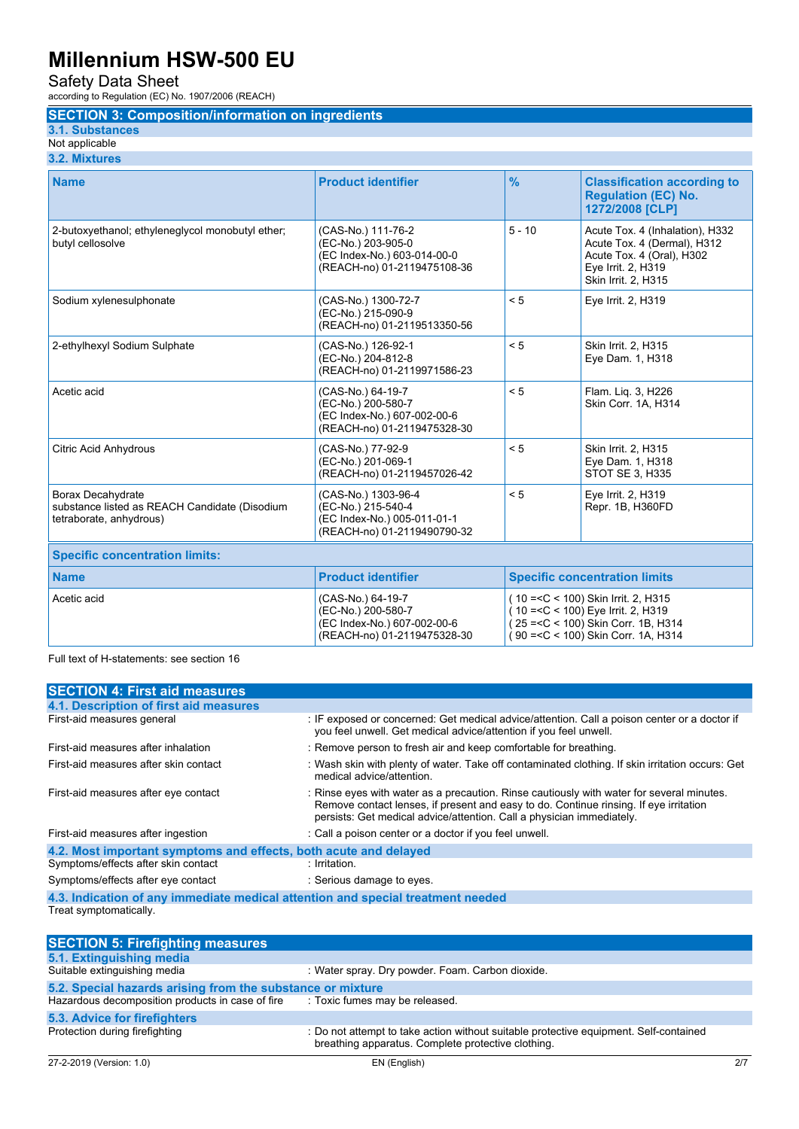Safety Data Sheet

according to Regulation (EC) No. 1907/2006 (REACH)

### **SECTION 3: Composition/information on ingredients**

**3.1. Substances**

#### Not applicable **3.2. Mixtures**

| <b>Name</b>                                                                                   | <b>Product identifier</b>                                                                               | $\frac{9}{6}$ | <b>Classification according to</b><br><b>Regulation (EC) No.</b><br>1272/2008 [CLP]                                                                        |
|-----------------------------------------------------------------------------------------------|---------------------------------------------------------------------------------------------------------|---------------|------------------------------------------------------------------------------------------------------------------------------------------------------------|
| 2-butoxyethanol; ethyleneglycol monobutyl ether;<br>butyl cellosolve                          | (CAS-No.) 111-76-2<br>(EC-No.) 203-905-0<br>(EC Index-No.) 603-014-00-0<br>(REACH-no) 01-2119475108-36  | $5 - 10$      | Acute Tox. 4 (Inhalation), H332<br>Acute Tox. 4 (Dermal), H312<br>Acute Tox. 4 (Oral), H302<br>Eye Irrit. 2, H319<br>Skin Irrit. 2, H315                   |
| Sodium xylenesulphonate                                                                       | (CAS-No.) 1300-72-7<br>(EC-No.) 215-090-9<br>(REACH-no) 01-2119513350-56                                | < 5           | Eye Irrit. 2, H319                                                                                                                                         |
| 2-ethylhexyl Sodium Sulphate                                                                  | (CAS-No.) 126-92-1<br>(EC-No.) 204-812-8<br>(REACH-no) 01-2119971586-23                                 | < 5           | Skin Irrit. 2, H315<br>Eye Dam. 1, H318                                                                                                                    |
| Acetic acid                                                                                   | (CAS-No.) 64-19-7<br>(EC-No.) 200-580-7<br>(EC Index-No.) 607-002-00-6<br>(REACH-no) 01-2119475328-30   | < 5           | Flam. Lig. 3, H226<br>Skin Corr. 1A, H314                                                                                                                  |
| <b>Citric Acid Anhydrous</b>                                                                  | (CAS-No.) 77-92-9<br>(EC-No.) 201-069-1<br>(REACH-no) 01-2119457026-42                                  | < 5           | Skin Irrit. 2, H315<br>Eye Dam. 1, H318<br><b>STOT SE 3, H335</b>                                                                                          |
| Borax Decahydrate<br>substance listed as REACH Candidate (Disodium<br>tetraborate, anhydrous) | (CAS-No.) 1303-96-4<br>(EC-No.) 215-540-4<br>(EC Index-No.) 005-011-01-1<br>(REACH-no) 01-2119490790-32 | < 5           | Eye Irrit. 2, H319<br>Repr. 1B, H360FD                                                                                                                     |
| <b>Specific concentration limits:</b>                                                         |                                                                                                         |               |                                                                                                                                                            |
| <b>Name</b>                                                                                   | <b>Product identifier</b>                                                                               |               | <b>Specific concentration limits</b>                                                                                                                       |
| Acetic acid                                                                                   | (CAS-No.) 64-19-7<br>(EC-No.) 200-580-7<br>(EC Index-No.) 607-002-00-6<br>(REACH-no) 01-2119475328-30   |               | (10 = < C < 100) Skin Irrit. 2, H315<br>(10 = < C < 100) Eye Irrit. 2, H319<br>25 = < C < 100) Skin Corr. 1B, H314<br>(90 = < C < 100) Skin Corr. 1A, H314 |

Full text of H-statements: see section 16

| <b>SECTION 4: First aid measures</b>                                            |                                                                                                                                                                                                                                                             |  |  |
|---------------------------------------------------------------------------------|-------------------------------------------------------------------------------------------------------------------------------------------------------------------------------------------------------------------------------------------------------------|--|--|
| 4.1. Description of first aid measures                                          |                                                                                                                                                                                                                                                             |  |  |
| First-aid measures general                                                      | : IF exposed or concerned: Get medical advice/attention. Call a poison center or a doctor if<br>you feel unwell. Get medical advice/attention if you feel unwell.                                                                                           |  |  |
| First-aid measures after inhalation                                             | : Remove person to fresh air and keep comfortable for breathing.                                                                                                                                                                                            |  |  |
| First-aid measures after skin contact                                           | : Wash skin with plenty of water. Take off contaminated clothing. If skin irritation occurs: Get<br>medical advice/attention.                                                                                                                               |  |  |
| First-aid measures after eye contact                                            | : Rinse eyes with water as a precaution. Rinse cautiously with water for several minutes.<br>Remove contact lenses, if present and easy to do. Continue rinsing. If eye irritation<br>persists: Get medical advice/attention. Call a physician immediately. |  |  |
| First-aid measures after ingestion                                              | : Call a poison center or a doctor if you feel unwell.                                                                                                                                                                                                      |  |  |
| 4.2. Most important symptoms and effects, both acute and delayed                |                                                                                                                                                                                                                                                             |  |  |
| Symptoms/effects after skin contact                                             | : Irritation.                                                                                                                                                                                                                                               |  |  |
| Symptoms/effects after eye contact                                              | : Serious damage to eyes.                                                                                                                                                                                                                                   |  |  |
| 4.3. Indication of any immediate medical attention and special treatment needed |                                                                                                                                                                                                                                                             |  |  |
| Treat symptomatically.                                                          |                                                                                                                                                                                                                                                             |  |  |
|                                                                                 |                                                                                                                                                                                                                                                             |  |  |
| <b>SECTION 5: Firefighting measures</b>                                         |                                                                                                                                                                                                                                                             |  |  |
|                                                                                 |                                                                                                                                                                                                                                                             |  |  |

| 5.1. Extinguishing media                                   |                                                                                                                                             |
|------------------------------------------------------------|---------------------------------------------------------------------------------------------------------------------------------------------|
| Suitable extinguishing media                               | : Water spray. Dry powder. Foam. Carbon dioxide.                                                                                            |
| 5.2. Special hazards arising from the substance or mixture |                                                                                                                                             |
| Hazardous decomposition products in case of fire           | : Toxic fumes may be released.                                                                                                              |
| 5.3. Advice for firefighters                               |                                                                                                                                             |
| Protection during firefighting                             | : Do not attempt to take action without suitable protective equipment. Self-contained<br>breathing apparatus. Complete protective clothing. |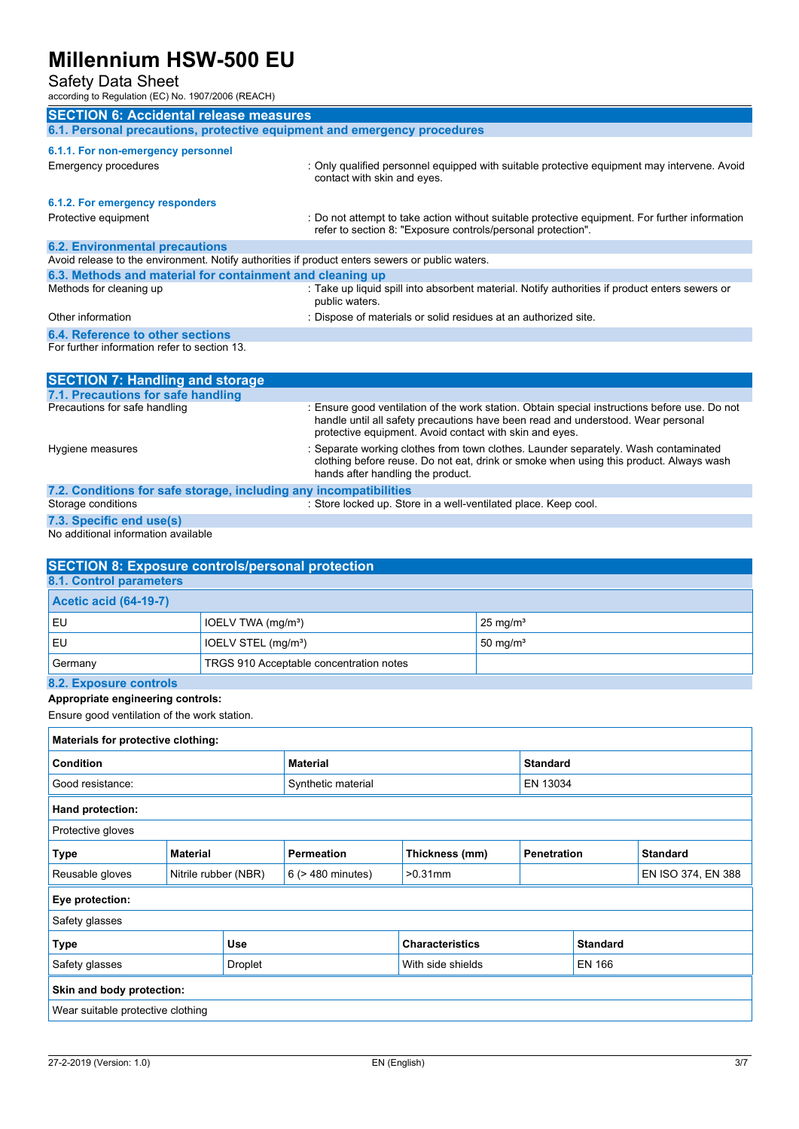### Safety Data Sheet

 $1907/2006$  (REACH)

| according to Regulation (LO) NO. 1907/2000 (REACH)                                              |                                                                                                                                                                                                                                              |
|-------------------------------------------------------------------------------------------------|----------------------------------------------------------------------------------------------------------------------------------------------------------------------------------------------------------------------------------------------|
| <b>SECTION 6: Accidental release measures</b>                                                   |                                                                                                                                                                                                                                              |
| 6.1. Personal precautions, protective equipment and emergency procedures                        |                                                                                                                                                                                                                                              |
| 6.1.1. For non-emergency personnel                                                              |                                                                                                                                                                                                                                              |
| Emergency procedures                                                                            | : Only qualified personnel equipped with suitable protective equipment may intervene. Avoid<br>contact with skin and eyes.                                                                                                                   |
| 6.1.2. For emergency responders                                                                 |                                                                                                                                                                                                                                              |
| Protective equipment                                                                            | : Do not attempt to take action without suitable protective equipment. For further information<br>refer to section 8: "Exposure controls/personal protection".                                                                               |
| <b>6.2. Environmental precautions</b>                                                           |                                                                                                                                                                                                                                              |
| Avoid release to the environment. Notify authorities if product enters sewers or public waters. |                                                                                                                                                                                                                                              |
| 6.3. Methods and material for containment and cleaning up                                       |                                                                                                                                                                                                                                              |
| Methods for cleaning up                                                                         | : Take up liquid spill into absorbent material. Notify authorities if product enters sewers or<br>public waters.                                                                                                                             |
| Other information                                                                               | : Dispose of materials or solid residues at an authorized site.                                                                                                                                                                              |
| 6.4. Reference to other sections                                                                |                                                                                                                                                                                                                                              |
| For further information refer to section 13.                                                    |                                                                                                                                                                                                                                              |
|                                                                                                 |                                                                                                                                                                                                                                              |
| <b>SECTION 7: Handling and storage</b>                                                          |                                                                                                                                                                                                                                              |
| 7.1. Precautions for safe handling                                                              |                                                                                                                                                                                                                                              |
| Precautions for safe handling                                                                   | : Ensure good ventilation of the work station. Obtain special instructions before use. Do not<br>handle until all safety precautions have been read and understood. Wear personal<br>protective equipment. Avoid contact with skin and eyes. |
| Hygiene measures                                                                                | : Separate working clothes from town clothes. Launder separately. Wash contaminated<br>clothing before reuse. Do not eat, drink or smoke when using this product. Always wash<br>hands after handling the product.                           |
| 7.2. Conditions for safe storage, including any incompatibilities                               |                                                                                                                                                                                                                                              |
| Storage conditions                                                                              | : Store locked up. Store in a well-ventilated place. Keep cool.                                                                                                                                                                              |

**7.3. Specific end use(s)** No additional information available

**8.1. Control parameters Acetic acid (64-19-7)**

| l EU                | IOELV STEL (mg/m <sup>3</sup> )         | $\,$ , 50 ma/m $^{\circ}$ |
|---------------------|-----------------------------------------|---------------------------|
| Germany             | TRGS 910 Acceptable concentration notes |                           |
| 00 Evnonum controlo |                                         |                           |

#### **8.2. Exposure controls Appropriate engineering controls:**

Ensure good ventilation of the work station.

**SECTION 8: Exposure controls/personal protection**

EU IOELV TWA (mg/m<sup>a</sup>) 25 mg/m<sup>a</sup>

| Materials for protective clothing:      |                 |                        |                   |                 |                                       |                    |  |
|-----------------------------------------|-----------------|------------------------|-------------------|-----------------|---------------------------------------|--------------------|--|
| Condition                               |                 | <b>Material</b>        |                   | <b>Standard</b> |                                       |                    |  |
| Good resistance:                        |                 | Synthetic material     |                   | EN 13034        |                                       |                    |  |
| Hand protection:                        |                 |                        |                   |                 |                                       |                    |  |
| Protective gloves                       |                 |                        |                   |                 |                                       |                    |  |
| Type                                    | <b>Material</b> |                        | <b>Permeation</b> | Thickness (mm)  | <b>Penetration</b><br><b>Standard</b> |                    |  |
| Reusable gloves<br>Nitrile rubber (NBR) |                 | $6$ ( $>$ 480 minutes) | $>0.31$ mm        |                 |                                       | EN ISO 374, EN 388 |  |
| Eye protection:                         |                 |                        |                   |                 |                                       |                    |  |
| Safety glasses                          |                 |                        |                   |                 |                                       |                    |  |
| <b>Type</b><br><b>Use</b>               |                 | <b>Characteristics</b> |                   |                 | <b>Standard</b>                       |                    |  |
| Safety glasses<br>Droplet               |                 | With side shields      |                   |                 | <b>EN 166</b>                         |                    |  |
| Skin and body protection:               |                 |                        |                   |                 |                                       |                    |  |
| Wear suitable protective clothing       |                 |                        |                   |                 |                                       |                    |  |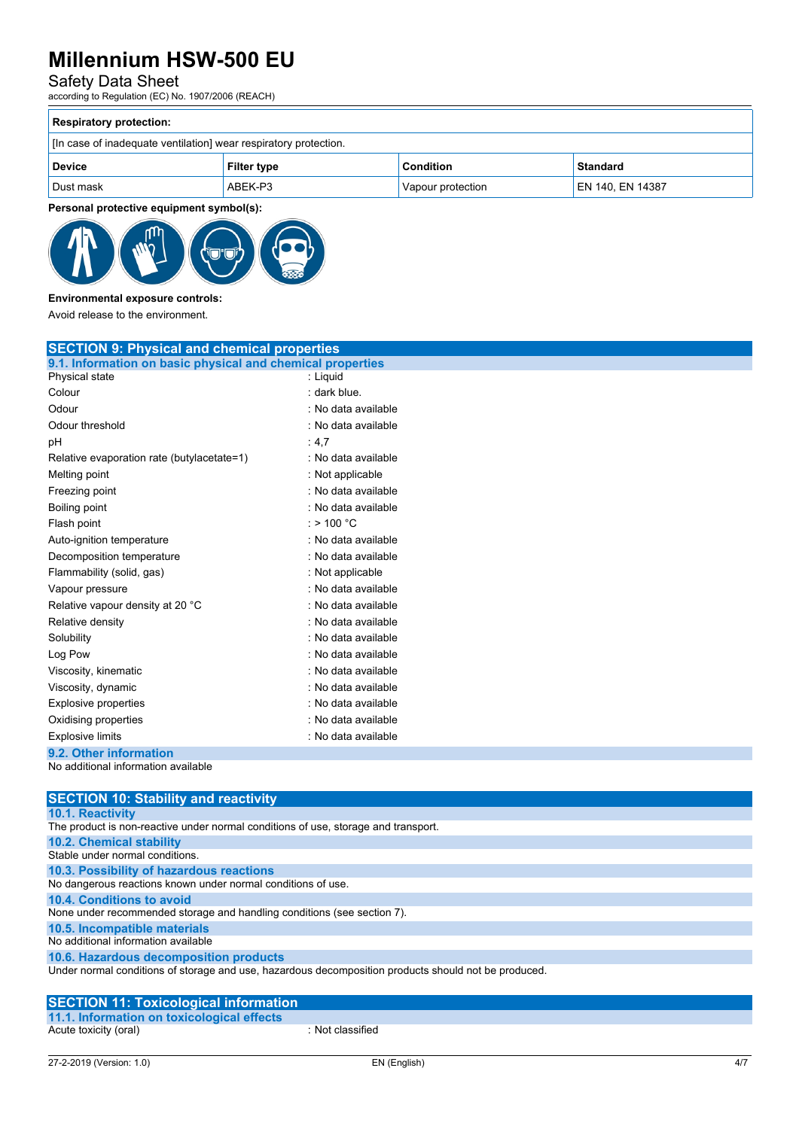### Safety Data Sheet

according to Regulation (EC) No. 1907/2006 (REACH)

| <b>Respiratory protection:</b>                                   |                    |                   |                  |  |  |
|------------------------------------------------------------------|--------------------|-------------------|------------------|--|--|
| [In case of inadequate ventilation] wear respiratory protection. |                    |                   |                  |  |  |
| <b>Device</b>                                                    | <b>Filter type</b> | <b>Condition</b>  | Standard         |  |  |
| Dust mask                                                        | ABEK-P3            | Vapour protection | EN 140, EN 14387 |  |  |

**Personal protective equipment symbol(s):**



### **Environmental exposure controls:**

Avoid release to the environment.

| <b>SECTION 9: Physical and chemical properties</b>         |                     |  |
|------------------------------------------------------------|---------------------|--|
| 9.1. Information on basic physical and chemical properties |                     |  |
| Physical state                                             | : Liquid            |  |
| Colour                                                     | : dark blue.        |  |
| Odour                                                      | : No data available |  |
| Odour threshold                                            | : No data available |  |
| рH                                                         | :4,7                |  |
| Relative evaporation rate (butylacetate=1)                 | : No data available |  |
| Melting point                                              | : Not applicable    |  |
| Freezing point                                             | : No data available |  |
| Boiling point                                              | : No data available |  |
| Flash point                                                | $:$ > 100 °C        |  |
| Auto-ignition temperature                                  | : No data available |  |
| Decomposition temperature                                  | : No data available |  |
| Flammability (solid, gas)                                  | : Not applicable    |  |
| Vapour pressure                                            | : No data available |  |
| Relative vapour density at 20 °C                           | : No data available |  |
| Relative density                                           | : No data available |  |
| Solubility                                                 | : No data available |  |
| Log Pow                                                    | : No data available |  |
| Viscosity, kinematic                                       | : No data available |  |
| Viscosity, dynamic                                         | : No data available |  |
| <b>Explosive properties</b>                                | : No data available |  |
| Oxidising properties                                       | : No data available |  |
| <b>Explosive limits</b>                                    | : No data available |  |
| 9.2. Other information                                     |                     |  |
| No additional information available                        |                     |  |

| <b>SECTION 10: Stability and reactivity</b>                                                          |
|------------------------------------------------------------------------------------------------------|
| <b>10.1. Reactivity</b>                                                                              |
| The product is non-reactive under normal conditions of use, storage and transport.                   |
| <b>10.2. Chemical stability</b>                                                                      |
| Stable under normal conditions.                                                                      |
| 10.3. Possibility of hazardous reactions                                                             |
| No dangerous reactions known under normal conditions of use.                                         |
| 10.4. Conditions to avoid                                                                            |
| None under recommended storage and handling conditions (see section 7).                              |
| 10.5. Incompatible materials                                                                         |
| No additional information available                                                                  |
| 10.6. Hazardous decomposition products                                                               |
| Under normal conditions of storage and use, hazardous decomposition products should not be produced. |
|                                                                                                      |

#### **SECTION 11: Toxicological information 11.1. Information on toxicological effects**

Acute toxicity (oral) **Example 2** : Not classified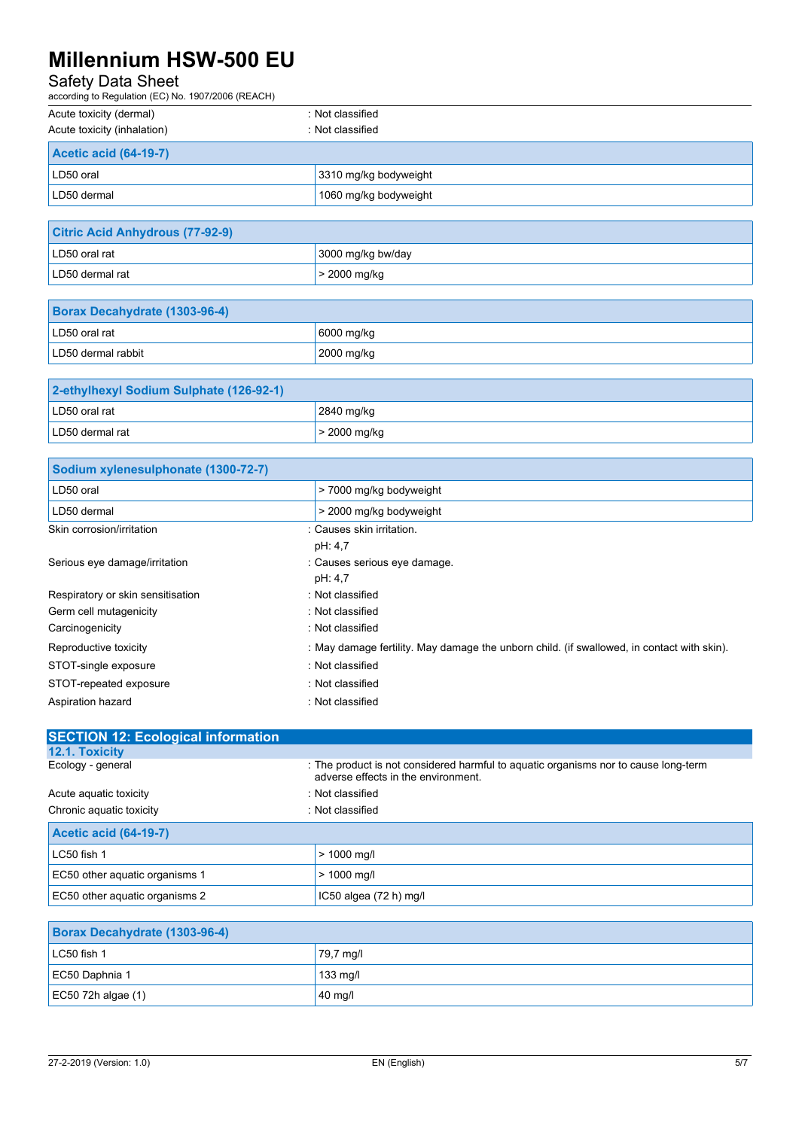## Safety Data Sheet

| according to Regulation (EC) No. 1907/2006 (REACH) |                       |  |  |
|----------------------------------------------------|-----------------------|--|--|
| Acute toxicity (dermal)                            | : Not classified      |  |  |
| Acute toxicity (inhalation)                        | : Not classified      |  |  |
| <b>Acetic acid (64-19-7)</b>                       |                       |  |  |
| LD50 oral                                          | 3310 mg/kg bodyweight |  |  |
| LD50 dermal                                        | 1060 mg/kg bodyweight |  |  |

| <b>Citric Acid Anhydrous (77-92-9)</b> |                   |  |
|----------------------------------------|-------------------|--|
| LD50 oral rat                          | 3000 mg/kg bw/day |  |
| LD50 dermal rat                        | $>$ 2000 mg/kg    |  |

| <b>Borax Decahydrate (1303-96-4)</b> |            |
|--------------------------------------|------------|
| LD50 oral rat                        | 6000 mg/kg |
| LD50 dermal rabbit                   | 2000 mg/kg |

| 2-ethylhexyl Sodium Sulphate (126-92-1) |                |
|-----------------------------------------|----------------|
| LD50 oral rat                           | 2840 mg/kg     |
| LD50 dermal rat                         | $>$ 2000 mg/kg |

| Sodium xylenesulphonate (1300-72-7) |                                                                                            |
|-------------------------------------|--------------------------------------------------------------------------------------------|
| LD50 oral                           | > 7000 mg/kg bodyweight                                                                    |
| LD50 dermal                         | > 2000 mg/kg bodyweight                                                                    |
| Skin corrosion/irritation           | : Causes skin irritation.                                                                  |
|                                     | pH: 4,7                                                                                    |
| Serious eye damage/irritation       | : Causes serious eye damage.                                                               |
|                                     | pH: 4,7                                                                                    |
| Respiratory or skin sensitisation   | : Not classified                                                                           |
| Germ cell mutagenicity              | : Not classified                                                                           |
| Carcinogenicity                     | : Not classified                                                                           |
| Reproductive toxicity               | : May damage fertility. May damage the unborn child. (if swallowed, in contact with skin). |
| STOT-single exposure                | : Not classified                                                                           |
| STOT-repeated exposure              | : Not classified                                                                           |
| Aspiration hazard                   | : Not classified                                                                           |

| <b>SECTION 12: Ecological information</b> |                                                                                                                            |
|-------------------------------------------|----------------------------------------------------------------------------------------------------------------------------|
| 12.1. Toxicity                            |                                                                                                                            |
| Ecology - general                         | : The product is not considered harmful to aquatic organisms nor to cause long-term<br>adverse effects in the environment. |
| Acute aguatic toxicity                    | : Not classified                                                                                                           |
| Chronic aquatic toxicity                  | : Not classified                                                                                                           |
| <b>Acetic acid (64-19-7)</b>              |                                                                                                                            |
| LC50 fish 1                               | $> 1000$ mg/l                                                                                                              |
| EC50 other aquatic organisms 1            | $> 1000$ mg/l                                                                                                              |
| EC50 other aquatic organisms 2            | IC50 algea $(72 h)$ mg/l                                                                                                   |
|                                           |                                                                                                                            |
| Borax Decahydrate (1303-96-4)             |                                                                                                                            |
| LC50 fish 1                               | 79,7 mg/l                                                                                                                  |
| EC50 Daphnia 1                            | $133$ mg/l                                                                                                                 |

 $\begin{array}{|l|l|}\n \hline\n \text{EC50 72h algebra (1)} & \text{A0 mgh}\n \hline\n \end{array}$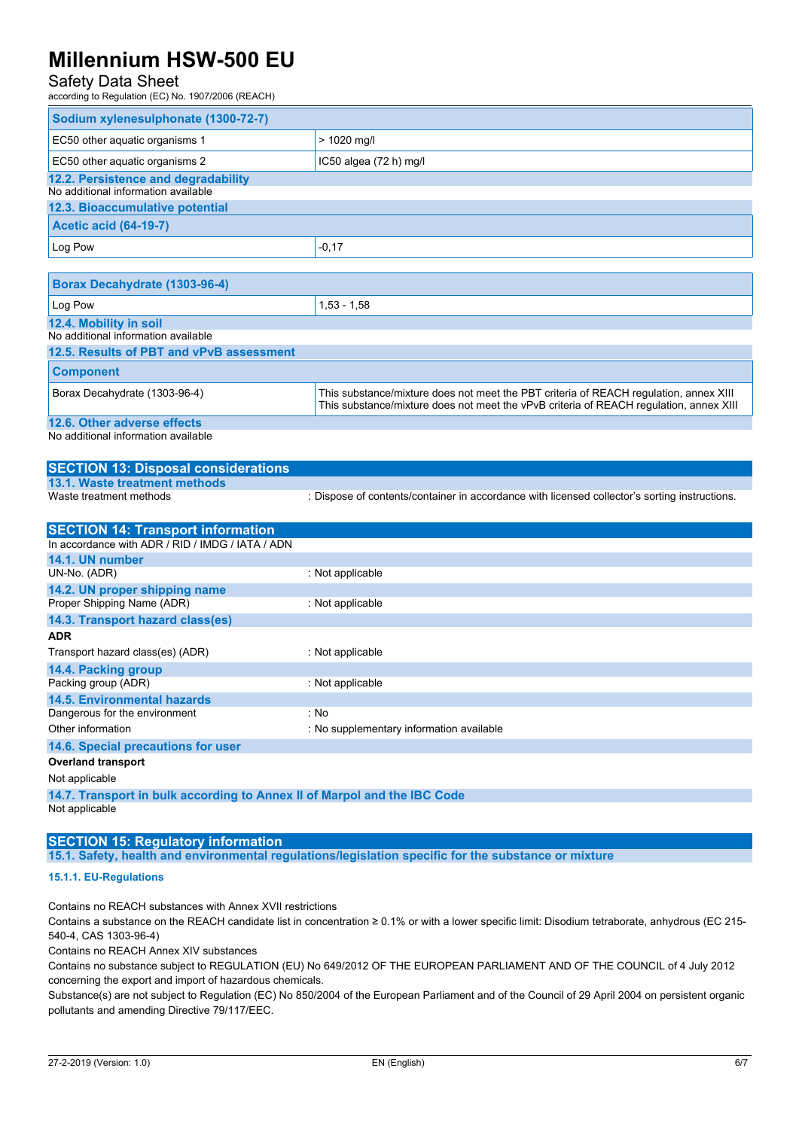### Safety Data Sheet

according to Regulation (EC) No. 1907/2006 (REACH)

| Sodium xylenesulphonate (1300-72-7) |                          |
|-------------------------------------|--------------------------|
| EC50 other aquatic organisms 1      | $> 1020$ mg/l            |
| EC50 other aquatic organisms 2      | IC50 algea $(72 h)$ mg/l |
| 12.2. Persistence and degradability |                          |
| No additional information available |                          |
| 12.3. Bioaccumulative potential     |                          |
| <b>Acetic acid (64-19-7)</b>        |                          |
| Log Pow                             | $-0,17$                  |

| Borax Decahydrate (1303-96-4)            |                                                                                                                                                                                 |
|------------------------------------------|---------------------------------------------------------------------------------------------------------------------------------------------------------------------------------|
| Log Pow                                  | $1,53 - 1,58$                                                                                                                                                                   |
| 12.4. Mobility in soil                   |                                                                                                                                                                                 |
| No additional information available      |                                                                                                                                                                                 |
| 12.5. Results of PBT and vPvB assessment |                                                                                                                                                                                 |
| <b>Component</b>                         |                                                                                                                                                                                 |
| Borax Decahydrate (1303-96-4)            | This substance/mixture does not meet the PBT criteria of REACH regulation, annex XIII<br>This substance/mixture does not meet the vPvB criteria of REACH regulation, annex XIII |
| 12.6. Other adverse effects              |                                                                                                                                                                                 |
|                                          |                                                                                                                                                                                 |

No additional information available

#### **SECTION 13: Disposal considerations 13.1. Waste treatment methods** : Dispose of contents/container in accordance with licensed collector's sorting instructions.

| <b>SECTION 14: Transport information</b>                                 |                                          |  |
|--------------------------------------------------------------------------|------------------------------------------|--|
| In accordance with ADR / RID / IMDG / IATA / ADN                         |                                          |  |
| 14.1. UN number                                                          |                                          |  |
| UN-No. (ADR)                                                             | : Not applicable                         |  |
| 14.2. UN proper shipping name                                            |                                          |  |
| Proper Shipping Name (ADR)                                               | : Not applicable                         |  |
| 14.3. Transport hazard class(es)                                         |                                          |  |
| <b>ADR</b>                                                               |                                          |  |
| Transport hazard class(es) (ADR)                                         | : Not applicable                         |  |
| 14.4. Packing group                                                      |                                          |  |
| Packing group (ADR)                                                      | : Not applicable                         |  |
| <b>14.5. Environmental hazards</b>                                       |                                          |  |
| Dangerous for the environment                                            | : No                                     |  |
| Other information                                                        | : No supplementary information available |  |
| 14.6. Special precautions for user                                       |                                          |  |
| <b>Overland transport</b>                                                |                                          |  |
| Not applicable                                                           |                                          |  |
| 14.7. Transport in bulk according to Annex II of Marpol and the IBC Code |                                          |  |

Not applicable

### **SECTION 15: Regulatory information**

**15.1. Safety, health and environmental regulations/legislation specific for the substance or mixture**

#### **15.1.1. EU-Regulations**

Contains no REACH substances with Annex XVII restrictions

Contains a substance on the REACH candidate list in concentration ≥ 0.1% or with a lower specific limit: Disodium tetraborate, anhydrous (EC 215- 540-4, CAS 1303-96-4)

Contains no REACH Annex XIV substances

Contains no substance subject to REGULATION (EU) No 649/2012 OF THE EUROPEAN PARLIAMENT AND OF THE COUNCIL of 4 July 2012 concerning the export and import of hazardous chemicals.

Substance(s) are not subject to Regulation (EC) No 850/2004 of the European Parliament and of the Council of 29 April 2004 on persistent organic pollutants and amending Directive 79/117/EEC.